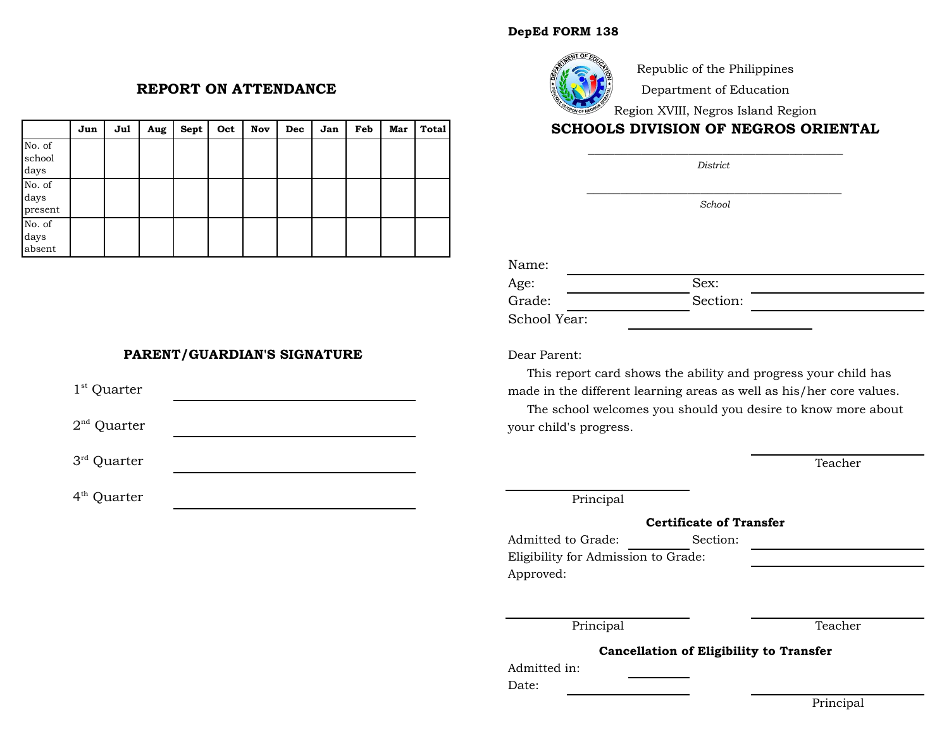### **DepEd FORM 138**



Republic of the Philippines

Department of Education

Region XVIII, Negros Island Region

# **SCHOOLS DIVISION OF NEGROS ORIENTAL**

\_\_\_\_\_\_\_\_\_\_\_\_\_\_\_\_\_\_\_\_\_\_\_\_\_\_\_\_\_\_\_\_\_\_\_\_\_\_ *District* 

*\_\_\_\_\_\_\_\_\_\_\_\_\_\_\_\_\_\_\_\_\_\_\_\_\_\_\_\_\_\_\_\_\_\_\_\_\_\_ School*

| Name:        |          |  |
|--------------|----------|--|
| Age:         | Sex:     |  |
| Grade:       | Section: |  |
| School Year: |          |  |

Dear Parent:

 This report card shows the ability and progress your child has made in the different learning areas as well as his/her core values.

 The school welcomes you should you desire to know more about your child's progress.

Teacher

Principal

#### **Certificate of Transfer**

Admitted to Grade: Section: Eligibility for Admission to Grade: Approved:

Principal Teacher

**Cancellation of Eligibility to Transfer**

Admitted in:

Date:

**REPORT ON ATTENDANCE**

|                           | Jun | Jul | Aug | Sept | Oct | Nov | Dec | Jan | Feb | Mar | <b>Total</b> |
|---------------------------|-----|-----|-----|------|-----|-----|-----|-----|-----|-----|--------------|
| No. of<br>school<br>days  |     |     |     |      |     |     |     |     |     |     |              |
| No. of<br>days<br>present |     |     |     |      |     |     |     |     |     |     |              |
| No. of<br>days<br>absent  |     |     |     |      |     |     |     |     |     |     |              |

## **PARENT/GUARDIAN'S SIGNATURE**

 $1<sup>st</sup>$  Quarter

 $2<sup>nd</sup>$  Quarter

3 rd Quarter

4 th Quarter